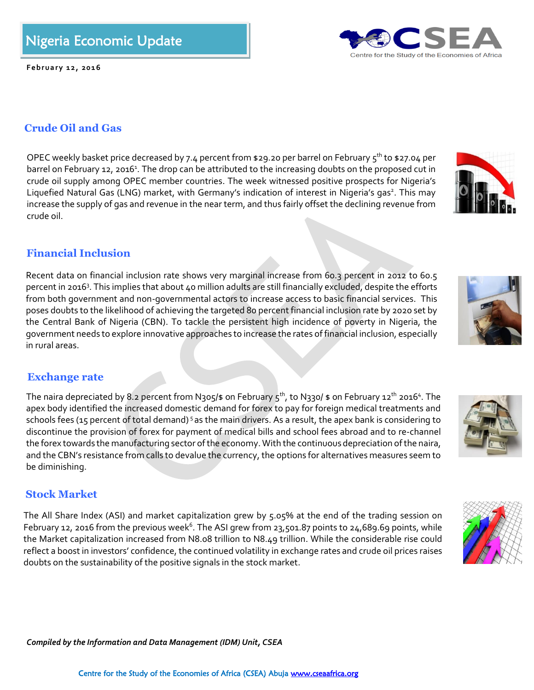Centre for the Study of the Economies of Africa (CSEA) Abuja www.cseaafrica.org

# Nigeria Economic Update

*Fe*

**F eb ru a ry 1 2 , 20 1 6**

## **Crude Oil and Gas**

OPEC weekly basket price decreased by 7.4 percent from \$29.20 per barrel on February  $5<sup>th</sup>$  to \$27.04 per barrel on February 12, 2016<sup>1</sup>. The drop can be attributed to the increasing doubts on the proposed cut in crude oil supply among OPEC member countries. The week witnessed positive prospects for Nigeria's Liquefied Natural Gas (LNG) market, with Germany's indication of interest in Nigeria's gas<sup>2</sup>. This may increase the supply of gas and revenue in the near term, and thus fairly offset the declining revenue from crude oil.

## **Financial Inclusion**

Recent data on financial inclusion rate shows very marginal increase from 60.3 percent in 2012 to 60.5 percent in 2016<sup>3</sup>. This implies that about 40 million adults are still financially excluded, despite the efforts from both government and non-governmental actors to increase access to basic financial services. This poses doubts to the likelihood of achieving the targeted 80 percent financial inclusion rate by 2020 set by the Central Bank of Nigeria (CBN). To tackle the persistent high incidence of poverty in Nigeria, the government needs to explore innovative approaches to increase the rates of financial inclusion, especially in rural areas.

### **Exchange rate**

The naira depreciated by 8.2 percent from N305/\$ on February 5<sup>th</sup>, to N330/ \$ on February 12<sup>th</sup> 2016<sup>4</sup>. The apex body identified the increased domestic demand for forex to pay for foreign medical treatments and schools fees (15 percent of total demand) <sup>5</sup> as the main drivers. As a result, the apex bank is considering to discontinue the provision of forex for payment of medical bills and school fees abroad and to re-channel the forex towards the manufacturing sector of the economy. With the continuous depreciation of the naira, and the CBN's resistance from calls to devalue the currency, the options for alternatives measures seem to be diminishing.

### **Stock Market**

The All Share Index (ASI) and market capitalization grew by 5.05% at the end of the trading session on February 12, 2016 from the previous week $^6$ . The ASI grew from 23,501.87 points to 24,689.69 points, while the Market capitalization increased from N8.08 trillion to N8.49 trillion. While the considerable rise could reflect a boost in investors' confidence, the continued volatility in exchange rates and crude oil prices raises doubts on the sustainability of the positive signals in the stock market.

*Compiled by the Information and Data Management (IDM) Unit, CSEA*